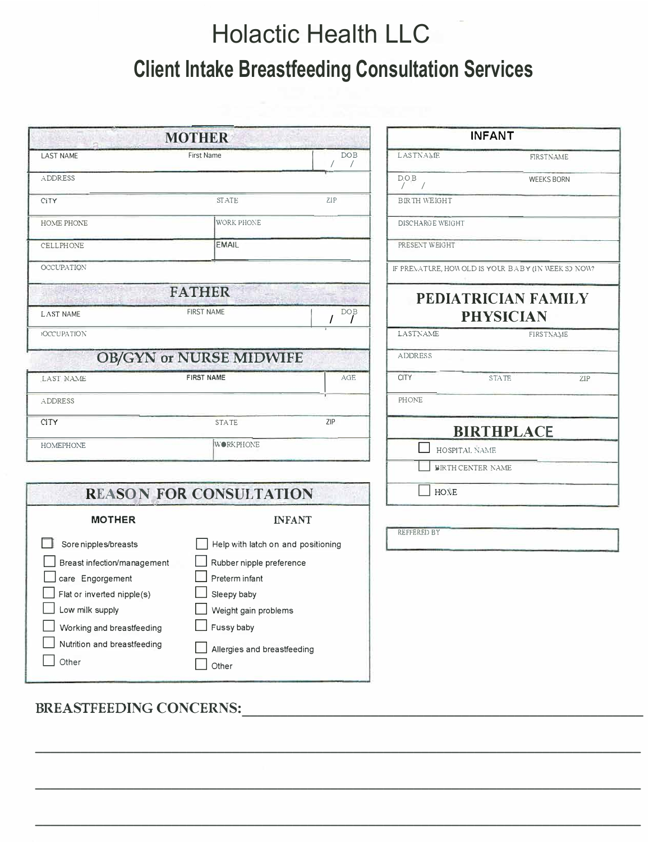## Holactic Health LLC **Client Intake Breastfeeding Consultation Services**

| <b>MOTHER</b>                                                                                                                                                                                        |                                                                                                                                                                             |               | <b>INFANT</b>       |                                                     |
|------------------------------------------------------------------------------------------------------------------------------------------------------------------------------------------------------|-----------------------------------------------------------------------------------------------------------------------------------------------------------------------------|---------------|---------------------|-----------------------------------------------------|
| <b>LAST NAME</b>                                                                                                                                                                                     | <b>First Name</b>                                                                                                                                                           | <b>DOB</b>    | LASTNAME            | FIRSTNAME                                           |
| ADDRESS                                                                                                                                                                                              |                                                                                                                                                                             |               | D.O.B<br>$/$ /      | <b>WEEKS BORN</b>                                   |
| CiTY                                                                                                                                                                                                 | <b>STATE</b>                                                                                                                                                                | ZIP           | <b>BIRTH WEIGHT</b> |                                                     |
| HOME PHONE                                                                                                                                                                                           | WORK PHONE                                                                                                                                                                  |               | DISCHARGE WEIGHT    |                                                     |
| CELLPHONE                                                                                                                                                                                            | <b>EMAIL</b>                                                                                                                                                                |               | PRESENT WEIGHT      |                                                     |
| <b>OCCUPATION</b>                                                                                                                                                                                    |                                                                                                                                                                             |               |                     | IF PREMATURE, HOW OLD IS YOUR BABY (IN WEEK SO NOW? |
| <b>LAST NAME</b>                                                                                                                                                                                     | <b>FATHER</b><br><b>FIRST NAME</b>                                                                                                                                          | <b>DOB</b>    |                     | PEDIATRICIAN FAMILY<br><b>PHYSICIAN</b>             |
| <b>OCCUPATION</b>                                                                                                                                                                                    |                                                                                                                                                                             |               | LASTNAME            | FIRSTNAME                                           |
|                                                                                                                                                                                                      | OB/GYN or NURSE MIDWIFE                                                                                                                                                     |               | <b>ADDRESS</b>      |                                                     |
| LAST NAME                                                                                                                                                                                            | <b>FIRST NAME</b>                                                                                                                                                           | AGE           | <b>CITY</b>         | <b>STATE</b><br>ZIP                                 |
| ADDRESS                                                                                                                                                                                              |                                                                                                                                                                             |               | PHONE               |                                                     |
| <b>CITY</b>                                                                                                                                                                                          | ZIP<br><b>STATE</b>                                                                                                                                                         |               |                     | <b>BIRTHPLACE</b>                                   |
| <b>HOMEPHONE</b>                                                                                                                                                                                     | <b>WORKPHONE</b>                                                                                                                                                            |               |                     | HOSPITAL NAME                                       |
|                                                                                                                                                                                                      |                                                                                                                                                                             |               | BIRTH CENTER NAME   |                                                     |
|                                                                                                                                                                                                      | <b>REASON FOR CONSULTATION</b>                                                                                                                                              |               | <b>HONE</b>         |                                                     |
| <b>MOTHER</b>                                                                                                                                                                                        |                                                                                                                                                                             | <b>INFANT</b> |                     |                                                     |
| Sore nipples/breasts<br>Breast infection/management<br>care Engorgement<br>$\Box$ Flat or inverted nipple(s)<br>Low milk supply<br>Working and breastfeeding<br>Nutrition and breastfeeding<br>Other | Help with latch on and positioning<br>Rubber nipple preference<br>Preterm infant<br>$\Box$ Sleepy baby<br>Weight gain problems<br>Fussy baby<br>Allergies and breastfeeding |               | REFFERED BY         |                                                     |

**\_\_\_\_\_\_\_\_\_\_\_\_\_\_\_\_\_\_\_\_\_\_\_\_\_\_\_\_\_\_\_\_\_\_\_\_\_\_\_\_\_\_\_\_\_\_\_\_\_\_\_\_\_\_\_\_\_\_\_\_\_\_\_\_\_\_\_\_\_\_\_\_\_\_\_\_\_\_\_\_**

**\_\_\_\_\_\_\_\_\_\_\_\_\_\_\_\_\_\_\_\_\_\_\_\_\_\_\_\_\_\_\_\_\_\_\_\_\_\_\_\_\_\_\_\_\_\_\_\_\_\_\_\_\_\_\_\_\_\_\_\_\_\_\_\_\_\_\_\_\_\_\_\_\_\_\_\_\_\_\_\_**

**\_\_\_\_\_\_\_\_\_\_\_\_\_\_\_\_\_\_\_\_\_\_\_\_\_\_\_\_\_\_\_\_\_\_\_\_\_\_\_\_\_\_\_\_\_\_\_\_\_\_\_\_\_\_\_\_\_\_\_\_\_\_\_\_\_\_\_\_\_\_\_\_\_\_\_\_\_\_\_\_**

**BREASTFEEDING CONCERNS:\_\_\_\_\_\_\_\_\_\_\_\_\_\_\_\_\_\_\_\_\_\_\_\_\_\_\_\_\_\_\_\_\_\_\_\_\_\_\_\_\_\_\_\_\_\_\_\_\_\_\_\_\_**